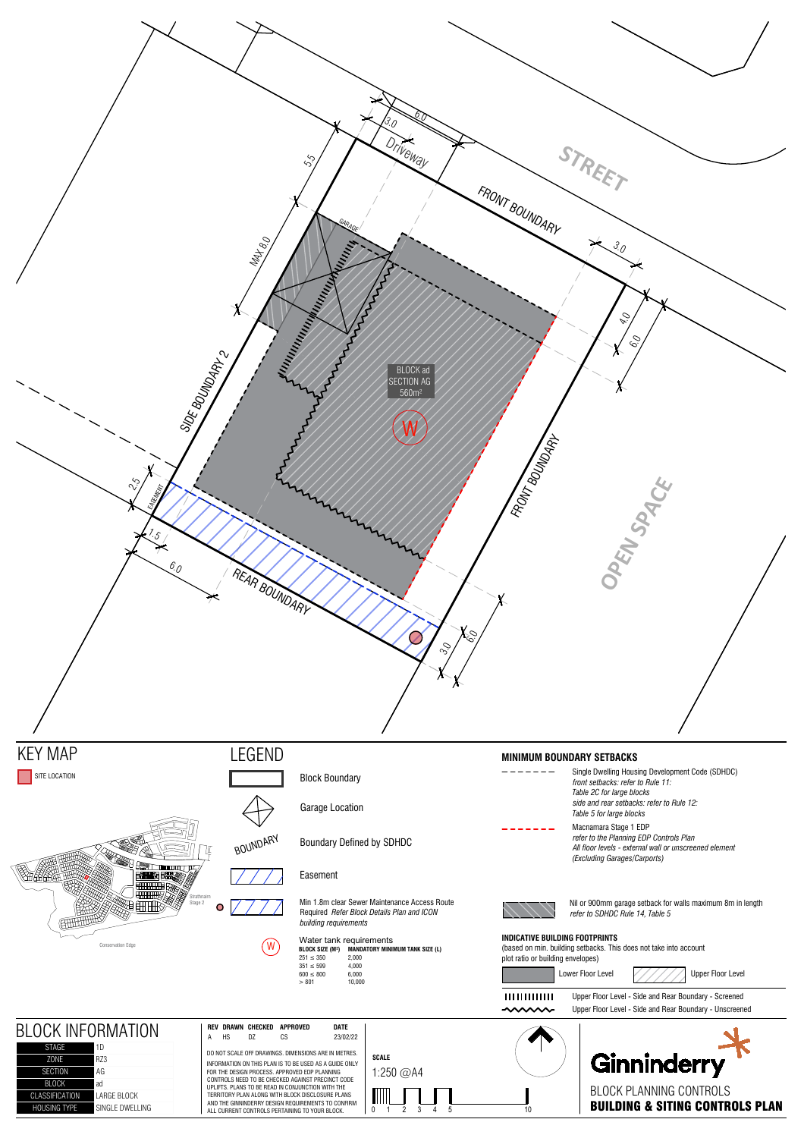